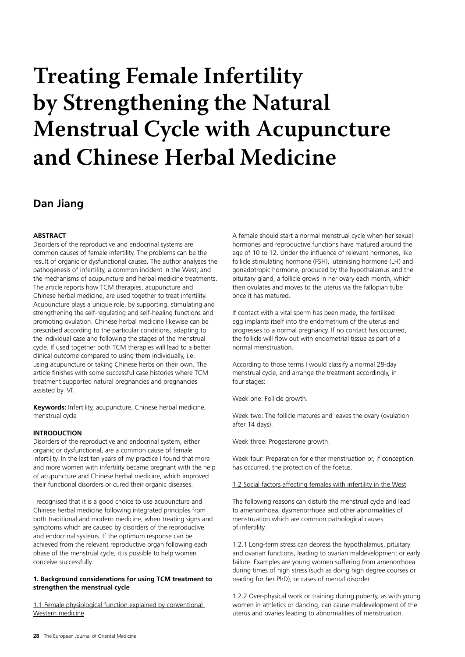# **Treating Female Infertility by Strengthening the Natural Menstrual Cycle with Acupuncture and Chinese Herbal Medicine**

# **Dan Jiang**

# **ABSTRACT**

Disorders of the reproductive and endocrinal systems are common causes of female infertility. The problems can be the result of organic or dysfunctional causes. The author analyses the pathogenesis of infertility, a common incident in the West, and the mechanisms of acupuncture and herbal medicine treatments. The article reports how TCM therapies, acupuncture and Chinese herbal medicine, are used together to treat infertility. Acupuncture plays a unique role, by supporting, stimulating and strengthening the self-regulating and self-healing functions and promoting ovulation. Chinese herbal medicine likewise can be prescribed according to the particular conditions, adapting to the individual case and following the stages of the menstrual cycle. If used together both TCM therapies will lead to a better clinical outcome compared to using them individually, i.e. using acupuncture or taking Chinese herbs on their own. The article finishes with some successful case histories where TCM treatment supported natural pregnancies and pregnancies assisted by IVF.

**Keywords:** Infertility, acupuncture, Chinese herbal medicine, menstrual cycle

# **INTRODUCTION**

Disorders of the reproductive and endocrinal system, either organic or dysfunctional, are a common cause of female infertility. In the last ten years of my practice I found that more and more women with infertility became pregnant with the help of acupuncture and Chinese herbal medicine, which improved their functional disorders or cured their organic diseases.

I recognised that it is a good choice to use acupuncture and Chinese herbal medicine following integrated principles from both traditional and modern medicine, when treating signs and symptoms which are caused by disorders of the reproductive and endocrinal systems. If the optimum response can be achieved from the relevant reproductive organ following each phase of the menstrual cycle, it is possible to help women conceive successfully.

# **1. Background considerations for using TCM treatment to strengthen the menstrual cycle**

1.1 Female physiological function explained by conventional Western medicine

A female should start a normal menstrual cycle when her sexual hormones and reproductive functions have matured around the age of 10 to 12. Under the influence of relevant hormones, like follicle stimulating hormone (FSH), luteinising hormone (LH) and gonadotropic hormone, produced by the hypothalamus and the pituitary gland, a follicle grows in her ovary each month, which then ovulates and moves to the uterus via the fallopian tube once it has matured.

If contact with a vital sperm has been made, the fertilised egg implants itself into the endometrium of the uterus and progresses to a normal pregnancy. If no contact has occurred, the follicle will flow out with endometrial tissue as part of a normal menstruation.

According to those terms I would classify a normal 28-day menstrual cycle, and arrange the treatment accordingly, in four stages:

Week one: Follicle growth.

Week two: The follicle matures and leaves the ovary (ovulation after 14 days).

Week three: Progesterone growth.

Week four: Preparation for either menstruation or, if conception has occurred, the protection of the foetus.

1.2 Social factors affecting females with infertility in the West

The following reasons can disturb the menstrual cycle and lead to amenorrhoea, dysmenorrhoea and other abnormalities of menstruation which are common pathological causes of infertility.

1.2.1 Long-term stress can depress the hypothalamus, pituitary and ovarian functions, leading to ovarian maldevelopment or early failure. Examples are young women suffering from amenorrhoea during times of high stress (such as doing high degree courses or reading for her PhD), or cases of mental disorder.

1.2.2 Over-physical work or training during puberty, as with young women in athletics or dancing, can cause maldevelopment of the uterus and ovaries leading to abnormalities of menstruation.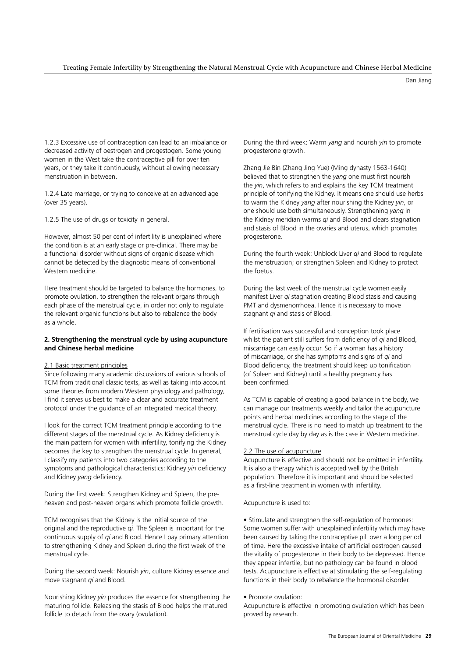Dan Jiang

1.2.3 Excessive use of contraception can lead to an imbalance or decreased activity of oestrogen and progestogen. Some young women in the West take the contraceptive pill for over ten years, or they take it continuously, without allowing necessary menstruation in between.

1.2.4 Late marriage, or trying to conceive at an advanced age (over 35 years).

1.2.5 The use of drugs or toxicity in general.

However, almost 50 per cent of infertility is unexplained where the condition is at an early stage or pre-clinical. There may be a functional disorder without signs of organic disease which cannot be detected by the diagnostic means of conventional Western medicine.

Here treatment should be targeted to balance the hormones, to promote ovulation, to strengthen the relevant organs through each phase of the menstrual cycle, in order not only to regulate the relevant organic functions but also to rebalance the body as a whole.

# **2. Strengthening the menstrual cycle by using acupuncture and Chinese herbal medicine**

#### 2.1 Basic treatment principles

Since following many academic discussions of various schools of TCM from traditional classic texts, as well as taking into account some theories from modern Western physiology and pathology, I find it serves us best to make a clear and accurate treatment protocol under the guidance of an integrated medical theory.

I look for the correct TCM treatment principle according to the different stages of the menstrual cycle. As Kidney deficiency is the main pattern for women with infertility, tonifying the Kidney becomes the key to strengthen the menstrual cycle. In general, I classify my patients into two categories according to the symptoms and pathological characteristics: Kidney *yin* deficiency and Kidney *yang* deficiency.

During the first week: Strengthen Kidney and Spleen, the preheaven and post-heaven organs which promote follicle growth.

TCM recognises that the Kidney is the initial source of the original and the reproductive *qi*. The Spleen is important for the continuous supply of *qi* and Blood. Hence I pay primary attention to strengthening Kidney and Spleen during the first week of the menstrual cycle.

During the second week: Nourish *yin*, culture Kidney essence and move stagnant *qi* and Blood.

Nourishing Kidney *yin* produces the essence for strengthening the maturing follicle. Releasing the stasis of Blood helps the matured follicle to detach from the ovary (ovulation).

During the third week: Warm *yang* and nourish *yin* to promote progesterone growth.

Zhang Jie Bin (Zhang Jing Yue) (Ming dynasty 1563-1640) believed that to strengthen the *yang* one must first nourish the *yin*, which refers to and explains the key TCM treatment principle of tonifying the Kidney. It means one should use herbs to warm the Kidney *yang* after nourishing the Kidney *yin*, or one should use both simultaneously. Strengthening *yang* in the Kidney meridian warms *qi* and Blood and clears stagnation and stasis of Blood in the ovaries and uterus, which promotes progesterone.

During the fourth week: Unblock Liver *qi* and Blood to regulate the menstruation; or strengthen Spleen and Kidney to protect the foetus.

During the last week of the menstrual cycle women easily manifest Liver *qi* stagnation creating Blood stasis and causing PMT and dysmenorrhoea. Hence it is necessary to move stagnant *qi* and stasis of Blood.

If fertilisation was successful and conception took place whilst the patient still suffers from deficiency of *qi* and Blood, miscarriage can easily occur. So if a woman has a history of miscarriage, or she has symptoms and signs of *qi* and Blood deficiency, the treatment should keep up tonification (of Spleen and Kidney) until a healthy pregnancy has been confirmed.

As TCM is capable of creating a good balance in the body, we can manage our treatments weekly and tailor the acupuncture points and herbal medicines according to the stage of the menstrual cycle. There is no need to match up treatment to the menstrual cycle day by day as is the case in Western medicine.

#### 2.2 The use of acupuncture

Acupuncture is effective and should not be omitted in infertility. It is also a therapy which is accepted well by the British population. Therefore it is important and should be selected as a first-line treatment in women with infertility.

Acupuncture is used to:

• Stimulate and strengthen the self-regulation of hormones: Some women suffer with unexplained infertility which may have been caused by taking the contraceptive pill over a long period of time. Here the excessive intake of artificial oestrogen caused the vitality of progesterone in their body to be depressed. Hence they appear infertile, but no pathology can be found in blood tests. Acupuncture is effective at stimulating the self-regulating functions in their body to rebalance the hormonal disorder.

#### • Promote ovulation:

Acupuncture is effective in promoting ovulation which has been proved by research.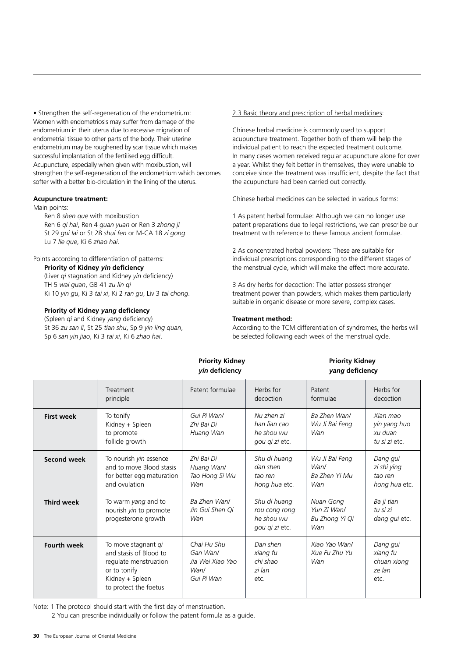• Strengthen the self-regeneration of the endometrium: Women with endometriosis may suffer from damage of the endometrium in their uterus due to excessive migration of endometrial tissue to other parts of the body. Their uterine endometrium may be roughened by scar tissue which makes successful implantation of the fertilised egg difficult. Acupuncture, especially when given with moxibustion, will strengthen the self-regeneration of the endometrium which becomes softer with a better bio-circulation in the lining of the uterus.

#### **Acupuncture treatment:**

Main points:

Ren 8 *shen que* with moxibustion Ren 6 *qi hai*, Ren 4 *guan yuan* or Ren 3 *zhong ji* St 29 *gui lai* or St 28 *shui fen* or M-CA 18 *zi gong* Lu 7 *lie que*, Ki 6 *zhao hai*.

Points according to differentiation of patterns: **Priority of Kidney** *yin* **deficiency**

(Liver *qi* stagnation and Kidney *yin* deficiency) TH 5 *wai guan*, GB 41 *zu lin qi* Ki 10 *yin gu*, Ki 3 *tai xi*, Ki 2 *ran gu*, Liv 3 *tai chong*.

# **Priority of Kidney** *yang* **deficiency**

(Spleen *qi* and Kidney *yang* deficiency) St 36 *zu san li*, St 25 *tian shu*, Sp 9 *yin ling quan*, Sp 6 *san yin jiao*, Ki 3 *tai xi*, Ki 6 *zhao hai*.

2.3 Basic theory and prescription of herbal medicines:

Chinese herbal medicine is commonly used to support acupuncture treatment. Together both of them will help the individual patient to reach the expected treatment outcome. In many cases women received regular acupuncture alone for over a year. Whilst they felt better in themselves, they were unable to conceive since the treatment was insufficient, despite the fact that the acupuncture had been carried out correctly.

Chinese herbal medicines can be selected in various forms:

1 As patent herbal formulae: Although we can no longer use patent preparations due to legal restrictions, we can prescribe our treatment with reference to these famous ancient formulae.

2 As concentrated herbal powders: These are suitable for individual prescriptions corresponding to the different stages of the menstrual cycle, which will make the effect more accurate.

3 As dry herbs for decoction: The latter possess stronger treatment power than powders, which makes them particularly suitable in organic disease or more severe, complex cases.

# **Treatment method:**

**Priority Kidney National Priority Kidney** 

According to the TCM differentiation of syndromes, the herbs will be selected following each week of the menstrual cycle.

|                    | yin deficiency                                                                                                                     |                                                                   | yang deficiency                                               |                                                   |                                                       |
|--------------------|------------------------------------------------------------------------------------------------------------------------------------|-------------------------------------------------------------------|---------------------------------------------------------------|---------------------------------------------------|-------------------------------------------------------|
|                    | Treatment<br>principle                                                                                                             | Patent formulae                                                   | Herbs for<br>decoction                                        | Patent<br>formulae                                | Herbs for<br>decoction                                |
| <b>First week</b>  | To tonify<br>Kidney + Spleen<br>to promote<br>follicle growth                                                                      | Gui Pi Wan/<br>Zhi Bai Di<br>Huang Wan                            | Nu zhen zi<br>han lian cao<br>he shou wu<br>gou qi zi etc.    | Ba Zhen Wan/<br>Wu Ji Bai Feng<br>Wan             | Xian mao<br>yin yang huo<br>xu duan<br>tu și zi etc.  |
| Second week        | To nourish yin essence<br>and to move Blood stasis<br>for better egg maturation<br>and ovulation                                   | Zhi Bai Di<br>Huang Wan/<br>Tao Hong Si Wu<br>Wan                 | Shu di huang<br>dan shen<br>tao ren<br>hong hua etc.          | Wu Ji Bai Feng<br>Wan/<br>Ba Zhen Yi Mu<br>Wan    | Dang gui<br>zi shi ying<br>tao ren<br>hong hua etc.   |
| <b>Third week</b>  | To warm yang and to<br>nourish <i>yin</i> to promote<br>progesterone growth                                                        | Ba Zhen Wan/<br>Jin Gui Shen Qi<br>Wan                            | Shu di huang<br>rou cong rong<br>he shou wu<br>gou qi zi etc. | Nuan Gong<br>Yun Zi Wan/<br>Bu Zhong Yi Qi<br>Wan | Ba ji tian<br>tu si zi<br>dang gui etc.               |
| <b>Fourth week</b> | To move stagnant qi<br>and stasis of Blood to<br>regulate menstruation<br>or to tonify<br>Kidney + Spleen<br>to protect the foetus | Chai Hu Shu<br>Gan Wan/<br>Jia Wei Xiao Yao<br>Wan/<br>Gui Pi Wan | Dan shen<br>xiang fu<br>chi shao<br>zi lan<br>etc.            | Xiao Yao Wanl<br>Xue Fu Zhu Yu<br>Wan             | Dang gui<br>xiang fu<br>chuan xiong<br>ze lan<br>etc. |

Note: 1 The protocol should start with the first day of menstruation.

2 You can prescribe individually or follow the patent formula as a guide.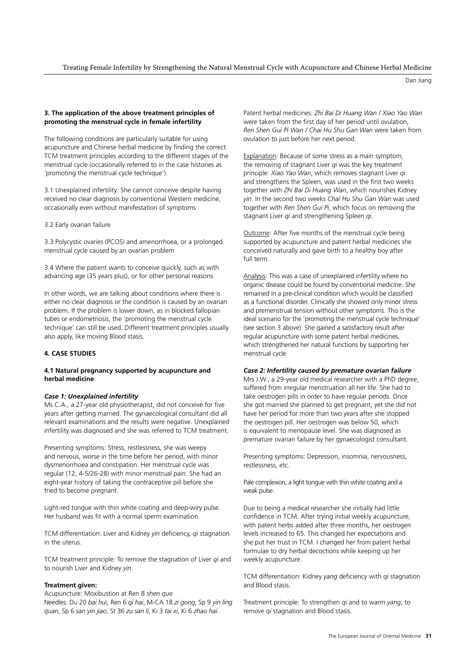#### Treating Female Infertility by Strengthening the Natural Menstrual Cycle with Acupuncture and Chinese Herbal Medicine

Dan Jiang

# **3. The application of the above treatment principles of promoting the menstrual cycle in female infertility**

The following conditions are particularly suitable for using acupuncture and Chinese herbal medicine by finding the correct TCM treatment principles according to the different stages of the menstrual cycle (occasionally referred to in the case histories as 'promoting the menstrual cycle technique').

3.1 Unexplained infertility: She cannot conceive despite having received no clear diagnosis by conventional Western medicine, occasionally even without manifestation of symptoms

3.2 Early ovarian failure

3.3 Polycystic ovaries (PCOS) and amenorrhoea, or a prolonged menstrual cycle caused by an ovarian problem

3.4 Where the patient wants to conceive quickly, such as with advancing age (35 years plus), or for other personal reasons

In other words, we are talking about conditions where there is either no clear diagnosis or the condition is caused by an ovarian problem. If the problem is lower down, as in blocked fallopian tubes or endometriosis, the 'promoting the menstrual cycle technique' can still be used. Different treatment principles usually also apply, like moving Blood stasis.

# **4. CASE STUDIES**

# **4.1 Natural pregnancy supported by acupuncture and herbal medicine**

# *Case 1: Unexplained infertility*

Ms C.A., a 27-year old physiotherapist, did not conceive for five years after getting married. The gynaecological consultant did all relevant examinations and the results were negative. Unexplained infertility was diagnosed and she was referred to TCM treatment.

Presenting symptoms: Stress, restlessness, she was weepy and nervous, worse in the time before her period, with minor dysmenorrhoea and constipation. Her menstrual cycle was regular (12, 4-5/26-28) with minor menstrual pain. She had an eight-year history of taking the contraceptive pill before she tried to become pregnant.

Light-red tongue with thin white coating and deep-wiry pulse. Her husband was fit with a normal sperm examination.

TCM differentiation: Liver and Kidney *yin* deficiency, *qi* stagnation in the uterus.

TCM treatment principle: To remove the stagnation of Liver *qi* and to nourish Liver and Kidney *yin*.

# **Treatment given:**

Acupuncture: Moxibustion at Ren 8 *shen que*

Needles: Du 20 *bai hu*i, Ren 6 *qi hai*, M-CA 18 *zi gong*, Sp 9 *yin ling quan*, Sp 6 *san yin jiao*, St 36 *zu san li*, Ki 3 *tai xi*, Ki 6 *zhao hai*.

Patent herbal medicines: *Zhi Bai Di Huang Wan / Xiao Yao Wan* were taken from the first day of her period until ovulation, *Ren Shen Gui Pi Wan / Chai Hu Shu Gan Wan* were taken from ovulation to just before her next period.

Explanation: Because of some stress as a main symptom, the removing of stagnant Liver *qi* was the key treatment principle: *Xiao Yao Wan*, which removes stagnant Liver *qi* and strengthens the Spleen, was used in the first two weeks together with *Zhi Bai Di Huang Wan*, which nourishes Kidney *yin*. In the second two weeks *Chai Hu Shu Gan Wan* was used together with *Ren Shen Gui Pi*, which focus on removing the stagnant Liver *qi* and strengthening Spleen *qi*.

Outcome: After five months of the menstrual cycle being supported by acupuncture and patent herbal medicines she conceived naturally and gave birth to a healthy boy after full term.

Analysis: This was a case of unexplained infertility where no organic disease could be found by conventional medicine. She remained in a pre-clinical condition which would be classified as a functional disorder. Clinically she showed only minor stress and premenstrual tension without other symptoms. This is the ideal scenario for the 'promoting the menstrual cycle technique' (see section 3 above). She gained a satisfactory result after regular acupuncture with some patent herbal medicines, which strengthened her natural functions by supporting her menstrual cycle.

# *Case 2: Infertility caused by premature ovarian failure*

Mrs J.W., a 29-year old medical researcher with a PhD degree, suffered from irregular menstruation all her life. She had to take oestrogen pills in order to have regular periods. Once she got married she planned to get pregnant, yet she did not have her period for more than two years after she stopped the oestrogen pill. Her oestrogen was below 50, which is equivalent to menopause level. She was diagnosed as premature ovarian failure by her gynaecologist consultant.

Presenting symptoms: Depression, insomnia, nervousness, restlessness, etc.

Pale complexion, a light tongue with thin white coating and a weak pulse.

Due to being a medical researcher she initially had little confidence in TCM. After trying initial weekly acupuncture, with patent herbs added after three months, her oestrogen levels increased to 65. This changed her expectations and she put her trust in TCM. I changed her from patent herbal formulae to dry herbal decoctions while keeping up her weekly acupuncture.

TCM differentiation: Kidney *yang* deficiency with *qi* stagnation and Blood stasis.

Treatment principle: To strengthen *qi* and to warm *yang*, to remove *qi* stagnation and Blood stasis.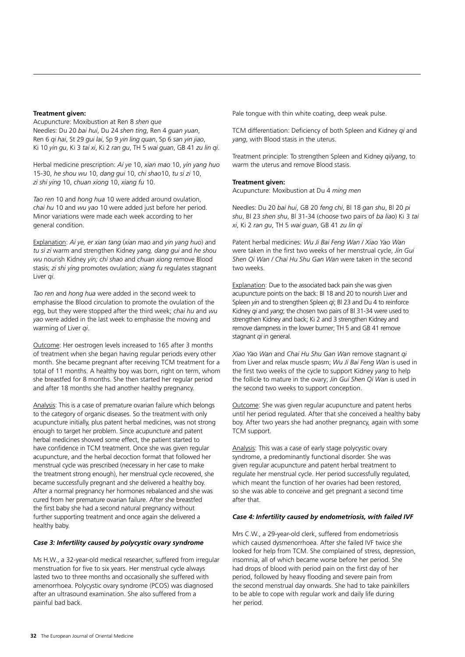# **Treatment given:**

Acupuncture: Moxibustion at Ren 8 *shen que*  Needles: Du 20 *bai hui*, Du 24 *shen ting*, Ren 4 *guan yuan*, Ren 6 *qi hai*, St 29 *gui lai*, Sp 9 *yin ling quan*, Sp 6 *san yin jiao*, Ki 10 *yin gu*, Ki 3 *tai xi*, Ki 2 *ran gu*, TH 5 *wai guan*, GB 41 *zu lin qi*.

Herbal medicine prescription: *Ai ye* 10, *xian mao* 10, *yin yang huo*  15-30, *he shou wu* 10, *dang gui* 10, *chi shao*10, *tu si zi* 10, *zi shi ying* 10, *chuan xiong* 10, *xiang fu* 10.

*Tao ren* 10 and *hong hua* 10 were added around ovulation, *chai hu* 10 and *wu yao* 10 were added just before her period. Minor variations were made each week according to her general condition.

Explanation: *Ai ye, er xian tang* (*xian mao* and *yin yang huo*) and *tu si zi* warm and strengthen Kidney *yang, dang gui* and *he shou wu* nourish Kidney *yin; chi shao* and *chuan xiong* remove Blood stasis; *zi shi ying* promotes ovulation; *xiang fu* regulates stagnant Liver *qi*.

*Tao ren* and *hong hua* were added in the second week to emphasise the Blood circulation to promote the ovulation of the egg, but they were stopped after the third week; *chai hu* and *wu yao* were added in the last week to emphasise the moving and warming of Liver *qi*.

Outcome: Her oestrogen levels increased to 165 after 3 months of treatment when she began having regular periods every other month. She became pregnant after receiving TCM treatment for a total of 11 months. A healthy boy was born, right on term, whom she breastfed for 8 months. She then started her regular period and after 18 months she had another healthy pregnancy.

Analysis: This is a case of premature ovarian failure which belongs to the category of organic diseases. So the treatment with only acupuncture initially, plus patent herbal medicines, was not strong enough to target her problem. Since acupuncture and patent herbal medicines showed some effect, the patient started to have confidence in TCM treatment. Once she was given regular acupuncture, and the herbal decoction format that followed her menstrual cycle was prescribed (necessary in her case to make the treatment strong enough), her menstrual cycle recovered, she became successfully pregnant and she delivered a healthy boy. After a normal pregnancy her hormones rebalanced and she was cured from her premature ovarian failure. After she breastfed the first baby she had a second natural pregnancy without further supporting treatment and once again she delivered a healthy baby.

# *Case 3: Infertility caused by polycystic ovary syndrome*

Ms H.W., a 32-year-old medical researcher, suffered from irregular menstruation for five to six years. Her menstrual cycle always lasted two to three months and occasionally she suffered with amenorrhoea. Polycystic ovary syndrome (PCOS) was diagnosed after an ultrasound examination. She also suffered from a painful bad back.

Pale tongue with thin white coating, deep weak pulse.

TCM differentiation: Deficiency of both Spleen and Kidney *qi* and *yang*, with Blood stasis in the uterus.

Treatment principle: To strengthen Spleen and Kidney *qi/yang*, to warm the uterus and remove Blood stasis.

#### **Treatment given:**

Acupuncture: Moxibustion at Du 4 *ming men*

Needles: Du 20 *bai hui*, GB 20 *feng chi*, Bl 18 *gan shu*, Bl 20 *pi shu*, Bl 23 *shen shu*, Bl 31-34 (choose two pairs of *ba liao*) Ki 3 *tai xi*, Ki 2 *ran gu*, TH 5 *wai guan*, GB 41 *zu lin qi* 

Patent herbal medicines: *Wu Ji Bai Feng Wan / Xiao Yao Wan* were taken in the first two weeks of her menstrual cycle, *Jin Gui Shen Qi Wan / Chai Hu Shu Gan Wan* were taken in the second two weeks.

Explanation: Due to the associated back pain she was given acupuncture points on the back: Bl 18 and 20 to nourish Liver and Spleen *yin* and to strengthen Spleen *qi*; Bl 23 and Du 4 to reinforce Kidney *qi* and *yang*; the chosen two pairs of Bl 31-34 were used to strengthen Kidney and back; Ki 2 and 3 strengthen Kidney and remove dampness in the lower burner; TH 5 and GB 41 remove stagnant *qi* in general.

*Xiao Yao Wan* and *Chai Hu Shu Gan Wan* remove stagnant *qi* from Liver and relax muscle spasm; *Wu Ji Bai Feng Wan* is used in the first two weeks of the cycle to support Kidney *yang* to help the follicle to mature in the ovary; *Jin Gui Shen Qi Wan* is used in the second two weeks to support conception.

Outcome: She was given regular acupuncture and patent herbs until her period regulated. After that she conceived a healthy baby boy. After two years she had another pregnancy, again with some TCM support.

Analysis: This was a case of early stage polycystic ovary syndrome, a predominantly functional disorder. She was given regular acupuncture and patent herbal treatment to regulate her menstrual cycle. Her period successfully regulated, which meant the function of her ovaries had been restored, so she was able to conceive and get pregnant a second time after that.

#### *Case 4: Infertility caused by endometriosis, with failed IVF*

Mrs C.W., a 29-year-old clerk, suffered from endometriosis which caused dysmenorrhoea. After she failed IVF twice she looked for help from TCM. She complained of stress, depression, insomnia, all of which became worse before her period. She had drops of blood with period pain on the first day of her period, followed by heavy flooding and severe pain from the second menstrual day onwards. She had to take painkillers to be able to cope with regular work and daily life during her period.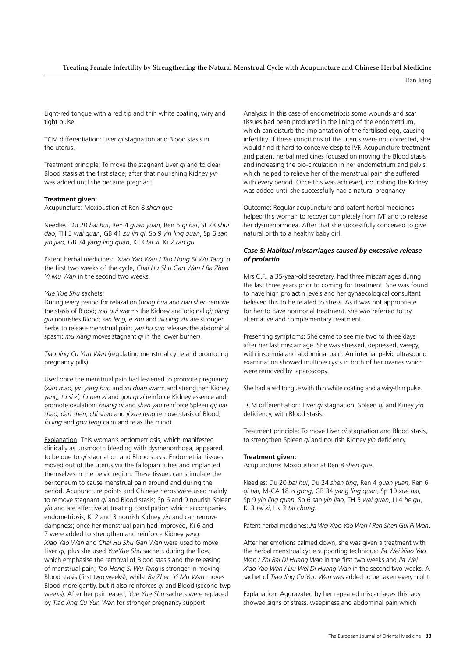#### Treating Female Infertility by Strengthening the Natural Menstrual Cycle with Acupuncture and Chinese Herbal Medicine

Dan Jiang

Light-red tongue with a red tip and thin white coating, wiry and tight pulse.

TCM differentiation: Liver *qi* stagnation and Blood stasis in the uterus.

Treatment principle: To move the stagnant Liver *qi* and to clear Blood stasis at the first stage; after that nourishing Kidney *yin* was added until she became pregnant.

#### **Treatment given:**

Acupuncture: Moxibustion at Ren 8 *shen que* 

Needles: Du 20 *bai hui*, Ren 4 *guan yuan*, Ren 6 *qi hai*, St 28 *shui dao*, TH 5 *wai guan*, GB 41 *zu lin qi*, Sp 9 *yin ling quan*, Sp 6 *san yin jiao*, GB 34 *yang ling quan*, Ki 3 *tai xi*, Ki 2 *ran gu*.

Patent herbal medicines: *Xiao Yao Wan / Tao Hong Si Wu Tang* in the first two weeks of the cycle, *Chai Hu Shu Gan Wan / Ba Zhen Yi Mu Wan* in the second two weeks.

### *Yue Yue Shu* sachets:

During every period for relaxation (*hong hua* and *dan shen* remove the stasis of Blood; *rou gui* warms the Kidney and original *qi; dang gui* nourishes Blood; *san leng, e zhu* and *wu ling zhi* are stronger herbs to release menstrual pain; *yan hu suo* releases the abdominal spasm; *mu xiang* moves stagnant *qi* in the lower burner).

*Tiao Jing Cu Yun Wan* (regulating menstrual cycle and promoting pregnancy pills):

Used once the menstrual pain had lessened to promote pregnancy (*xian mao, yin yang huo* and *xu duan* warm and strengthen Kidney *yang; tu si zi, fu pen zi* and *gou qi zi* reinforce Kidney essence and promote ovulation; *huang qi* and *shan yao* reinforce Spleen *qi; bai shao, dan shen, chi shao* and *ji xue teng* remove stasis of Blood; *fu ling* and *gou teng* calm and relax the mind).

Explanation: This woman's endometriosis, which manifested clinically as unsmooth bleeding with dysmenorrhoea, appeared to be due to *qi* stagnation and Blood stasis. Endometrial tissues moved out of the uterus via the fallopian tubes and implanted themselves in the pelvic region. These tissues can stimulate the peritoneum to cause menstrual pain around and during the period. Acupuncture points and Chinese herbs were used mainly to remove stagnant *qi* and Blood stasis; Sp 6 and 9 nourish Spleen *yin* and are effective at treating constipation which accompanies endometriosis; Ki 2 and 3 nourish Kidney *yin* and can remove dampness; once her menstrual pain had improved, Ki 6 and 7 were added to strengthen and reinforce Kidney *yang*. *Xiao Yao Wan* and *Chai Hu Shu Gan Wan* were used to move Liver *qi*, plus she used *YueYue Shu* sachets during the flow, which emphasise the removal of Blood stasis and the releasing of menstrual pain; *Tao Hong Si Wu Tang* is stronger in moving Blood stasis (first two weeks), whilst *Ba Zhen Yi Mu Wan* moves Blood more gently, but it also reinforces *qi* and Blood (second twp weeks). After her pain eased, *Yue Yue Shu* sachets were replaced by *Tiao Jing Cu Yun Wan* for stronger pregnancy support.

Analysis: In this case of endometriosis some wounds and scar tissues had been produced in the lining of the endometrium, which can disturb the implantation of the fertilised egg, causing infertility. If these conditions of the uterus were not corrected, she would find it hard to conceive despite IVF. Acupuncture treatment and patent herbal medicines focused on moving the Blood stasis and increasing the bio-circulation in her endometrium and pelvis, which helped to relieve her of the menstrual pain she suffered with every period. Once this was achieved, nourishing the Kidney was added until she successfully had a natural pregnancy.

Outcome: Regular acupuncture and patent herbal medicines helped this woman to recover completely from IVF and to release her dysmenorrhoea. After that she successfully conceived to give natural birth to a healthy baby girl.

# *Case 5: Habitual miscarriages caused by excessive release of prolactin*

Mrs C.F., a 35-year-old secretary, had three miscarriages during the last three years prior to coming for treatment. She was found to have high prolactin levels and her gynaecological consultant believed this to be related to stress. As it was not appropriate for her to have hormonal treatment, she was referred to try alternative and complementary treatment.

Presenting symptoms: She came to see me two to three days after her last miscarriage. She was stressed, depressed, weepy, with insomnia and abdominal pain. An internal pelvic ultrasound examination showed multiple cysts in both of her ovaries which were removed by laparoscopy.

She had a red tongue with thin white coating and a wiry-thin pulse.

TCM differentiation: Liver *qi* stagnation, Spleen *qi* and Kiney *yin*  deficiency, with Blood stasis.

Treatment principle: To move Liver *qi* stagnation and Blood stasis, to strengthen Spleen *qi* and nourish Kidney *yin* deficiency.

#### **Treatment given:**

Acupuncture: Moxibustion at Ren 8 *shen que*.

Needles: Du 20 *bai hui*, Du 24 *shen ting*, Ren 4 *guan yuan*, Ren 6 *qi hai*, M-CA 18 *zi gong*, GB 34 *yang ling quan*, Sp 10 *xue hai*, Sp 9 *yin ling quan*, Sp 6 *san yin jiao*, TH 5 *wai guan*, LI 4 *he gu*, Ki 3 *tai xi*, Liv 3 *tai chong*.

Patent herbal medicines: *Jia Wei Xiao Yao Wan / Ren Shen Gui Pi Wan*.

After her emotions calmed down, she was given a treatment with the herbal menstrual cycle supporting technique: *Jia Wei Xiao Yao Wan / Zhi Bai Di Huang Wan* in the first two weeks and *Jia Wei Xiao Yao Wan / Liu Wei Di Huang Wan* in the second two weeks. A sachet of *Tiao Jing Cu Yun Wan* was added to be taken every night.

Explanation: Aggravated by her repeated miscarriages this lady showed signs of stress, weepiness and abdominal pain which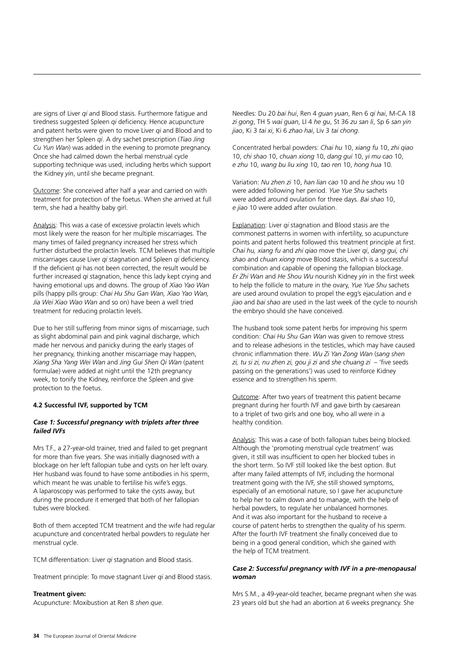are signs of Liver *qi* and Blood stasis. Furthermore fatigue and tiredness suggested Spleen *qi* deficiency. Hence acupuncture and patent herbs were given to move Liver *qi* and Blood and to strengthen her Spleen *qi*. A dry sachet prescription (*Tiao Jing Cu Yun Wan*) was added in the evening to promote pregnancy. Once she had calmed down the herbal menstrual cycle supporting technique was used, including herbs which support the Kidney *yin*, until she became pregnant.

Outcome: She conceived after half a year and carried on with treatment for protection of the foetus. When she arrived at full term, she had a healthy baby girl.

Analysis: This was a case of excessive prolactin levels which most likely were the reason for her multiple miscarriages. The many times of failed pregnancy increased her stress which further disturbed the prolactin levels. TCM believes that multiple miscarriages cause Liver *qi* stagnation and Spleen *qi* deficiency. If the deficient *qi* has not been corrected, the result would be further increased *qi* stagnation, hence this lady kept crying and having emotional ups and downs. The group of *Xiao Yao Wan*  pills (happy pills group: *Chai Hu Shu Gan Wan, Xiao Yao Wan, Jia Wei Xiao Wao Wan* and so on) have been a well tried treatment for reducing prolactin levels.

Due to her still suffering from minor signs of miscarriage, such as slight abdominal pain and pink vaginal discharge, which made her nervous and panicky during the early stages of her pregnancy, thinking another miscarriage may happen, *Xiang Sha Yang Wei Wan* and *Jing Gui Shen Qi Wan* (patent formulae) were added at night until the 12th pregnancy week, to tonify the Kidney, reinforce the Spleen and give protection to the foetus.

# **4.2 Successful IVF, supported by TCM**

# *Case 1: Successful pregnancy with triplets after three failed IVFs*

Mrs T.F., a 27-year-old trainer, tried and failed to get pregnant for more than five years. She was initially diagnosed with a blockage on her left fallopian tube and cysts on her left ovary. Her husband was found to have some antibodies in his sperm, which meant he was unable to fertilise his wife's eggs. A laparoscopy was performed to take the cysts away, but during the procedure it emerged that both of her fallopian tubes were blocked.

Both of them accepted TCM treatment and the wife had regular acupuncture and concentrated herbal powders to regulate her menstrual cycle.

TCM differentiation: Liver *qi* stagnation and Blood stasis.

Treatment principle: To move stagnant Liver *qi* and Blood stasis.

#### **Treatment given:**

Acupuncture: Moxibustion at Ren 8 *shen que*.

Needles: Du 20 *bai hui*, Ren 4 *guan yuan*, Ren 6 *qi hai*, M-CA 18 *zi gong*, TH 5 *wai guan*, LI 4 *he gu*, St 36 *zu san li*, Sp 6 *san yin jiao*, Ki 3 *tai xi*, Ki 6 *zhao hai*, Liv 3 *tai chong*.

Concentrated herbal powders: *Chai hu* 10, *xiang fu* 10, *zhi qiao*  10, *chi shao* 10, *chuan xiong* 10, *dang gui* 10, *yi mu cao* 10, *e zhu* 10, *wang bu liu xing* 10, *tao ren* 10, *hong hua* 10.

Variation: *Nu zhen zi* 10, *han lian cao* 10 and *he shou wu* 10 were added following her period. *Yue Yue Shu* sachets were added around ovulation for three days. *Bai shao* 10, *e jiao* 10 were added after ovulation.

Explanation: Liver *qi* stagnation and Blood stasis are the commonest patterns in women with infertility, so acupuncture points and patent herbs followed this treatment principle at first. *Chai hu, xiang fu* and *zhi qiao* move the Liver *qi*, *dang gui, chi shao* and *chuan xiong* move Blood stasis, which is a successful combination and capable of opening the fallopian blockage. *Er Zhi Wan* and *He Shou Wu* nourish Kidney *yin* in the first week to help the follicle to mature in the ovary, *Yue Yue Shu* sachets are used around ovulation to propel the egg's ejaculation and *e jiao* and *bai shao* are used in the last week of the cycle to nourish the embryo should she have conceived.

The husband took some patent herbs for improving his sperm condition: *Chai Hu Shu Gan Wan* was given to remove stress and to release adhesions in the testicles, which may have caused chronic inflammation there. *Wu Zi Yan Zong Wan* (*sang shen zi, tu si zi, nu zhen zi, gou ji zi* and *she chuang zi* – 'five seeds passing on the generations') was used to reinforce Kidney essence and to strengthen his sperm.

Outcome: After two years of treatment this patient became pregnant during her fourth IVF and gave birth by caesarean to a triplet of two girls and one boy, who all were in a healthy condition.

Analysis: This was a case of both fallopian tubes being blocked. Although the 'promoting menstrual cycle treatment' was given, it still was insufficient to open her blocked tubes in the short term. So IVF still looked like the best option. But after many failed attempts of IVF, including the hormonal treatment going with the IVF, she still showed symptoms, especially of an emotional nature, so I gave her acupuncture to help her to calm down and to manage, with the help of herbal powders, to regulate her unbalanced hormones. And it was also important for the husband to receive a course of patent herbs to strengthen the quality of his sperm. After the fourth IVF treatment she finally conceived due to being in a good general condition, which she gained with the help of TCM treatment.

# *Case 2: Successful pregnancy with IVF in a pre-menopausal woman*

Mrs S.M., a 49-year-old teacher, became pregnant when she was 23 years old but she had an abortion at 6 weeks pregnancy. She